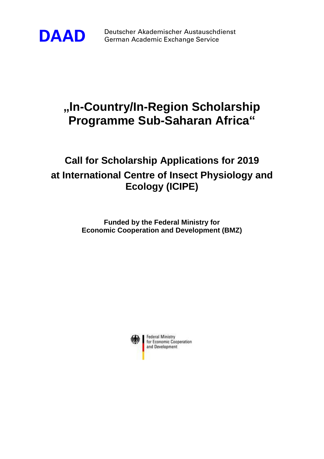

**DAAD** Deutscher Akademischer Austauschdienst German Academic Exchange Service

## **"In-Country/In-Region Scholarship Programme Sub-Saharan Africa"**

## **Call for Scholarship Applications for 2019 at International Centre of Insect Physiology and Ecology (ICIPE)**

**Funded by the Federal Ministry for Economic Cooperation and Development (BMZ)**

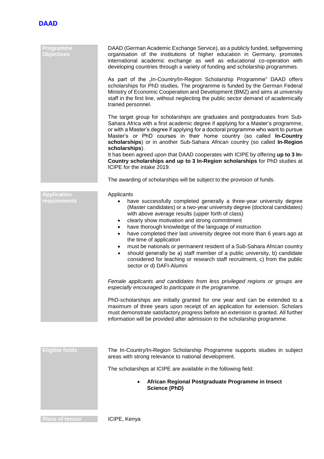

| Programme<br><b>Objectives</b>     | DAAD (German Academic Exchange Service), as a publicly funded, selfgoverning<br>organisation of the institutions of higher education in Germany, promotes<br>international academic exchange as well as educational co-operation with<br>developing countries through a variety of funding and scholarship programmes.<br>As part of the "In-Country/In-Region Scholarship Programme" DAAD offers<br>scholarships for PhD studies. The programme is funded by the German Federal<br>Ministry of Economic Cooperation and Development (BMZ) and aims at university<br>staff in the first line, without neglecting the public sector demand of academically<br>trained personnel.                                                                         |
|------------------------------------|---------------------------------------------------------------------------------------------------------------------------------------------------------------------------------------------------------------------------------------------------------------------------------------------------------------------------------------------------------------------------------------------------------------------------------------------------------------------------------------------------------------------------------------------------------------------------------------------------------------------------------------------------------------------------------------------------------------------------------------------------------|
|                                    | The target group for scholarships are graduates and postgraduates from Sub-<br>Sahara Africa with a first academic degree if applying for a Master's programme,<br>or with a Master's degree if applying for a doctoral programme who want to pursue<br>Master's or PhD courses in their home country (so called In-Country<br>scholarships) or in another Sub-Sahara African country (so called In-Region<br>scholarships).<br>It has been agreed upon that DAAD cooperates with ICIPE by offering up to 3 In-<br>Country scholarships and up to 3 In-Region scholarships for PhD studies at<br>ICIPE for the intake 2019.                                                                                                                             |
|                                    | The awarding of scholarships will be subject to the provision of funds.                                                                                                                                                                                                                                                                                                                                                                                                                                                                                                                                                                                                                                                                                 |
|                                    |                                                                                                                                                                                                                                                                                                                                                                                                                                                                                                                                                                                                                                                                                                                                                         |
| <b>Application</b><br>requirements | Applicants<br>have successfully completed generally a three-year university degree<br>(Master candidates) or a two-year university degree (doctoral candidates)<br>with above average results (upper forth of class)<br>clearly show motivation and strong commitment<br>٠<br>have thorough knowledge of the language of instruction<br>٠<br>have completed their last university degree not more than 6 years ago at<br>$\bullet$<br>the time of application<br>must be nationals or permanent resident of a Sub-Sahara African country<br>$\bullet$<br>should generally be a) staff member of a public university, b) candidate<br>$\bullet$<br>considered for teaching or research staff recruitment, c) from the public<br>sector or d) DAFI-Alumni |
|                                    | Female applicants and candidates from less privileged regions or groups are<br>especially encouraged to participate in the programme.                                                                                                                                                                                                                                                                                                                                                                                                                                                                                                                                                                                                                   |
|                                    | PhD-scholarships are initially granted for one year and can be extended to a<br>maximum of three years upon receipt of an application for extension. Scholars<br>must demonstrate satisfactory progress before an extension is granted. All further<br>information will be provided after admission to the scholarship programme.                                                                                                                                                                                                                                                                                                                                                                                                                       |
|                                    |                                                                                                                                                                                                                                                                                                                                                                                                                                                                                                                                                                                                                                                                                                                                                         |
| <b>Eligible fields</b>             | The In-Country/In-Region Scholarship Programme supports studies in subject<br>areas with strong relevance to national development.                                                                                                                                                                                                                                                                                                                                                                                                                                                                                                                                                                                                                      |
|                                    | The scholarships at ICIPE are available in the following field:                                                                                                                                                                                                                                                                                                                                                                                                                                                                                                                                                                                                                                                                                         |
|                                    | African Regional Postgraduate Programme in Insect<br><b>Science (PhD)</b>                                                                                                                                                                                                                                                                                                                                                                                                                                                                                                                                                                                                                                                                               |

**Place of tenure CIPE, Kenya**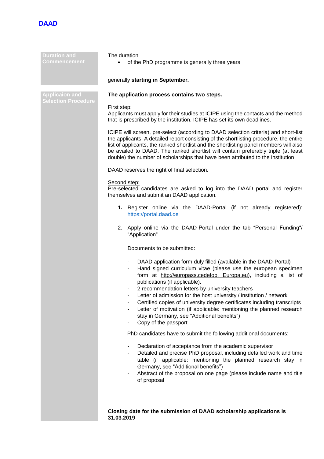

| <b>Duration and</b><br>Commencement | The duration<br>of the PhD programme is generally three years                                                                                                                                                                                                                                                                                                                                                                                                                                                                                                                                                  |
|-------------------------------------|----------------------------------------------------------------------------------------------------------------------------------------------------------------------------------------------------------------------------------------------------------------------------------------------------------------------------------------------------------------------------------------------------------------------------------------------------------------------------------------------------------------------------------------------------------------------------------------------------------------|
|                                     | generally starting in September.                                                                                                                                                                                                                                                                                                                                                                                                                                                                                                                                                                               |
| <b>Applicaion and</b>               | The application process contains two steps.                                                                                                                                                                                                                                                                                                                                                                                                                                                                                                                                                                    |
| <b>Selection Procedure</b>          | First step:<br>Applicants must apply for their studies at ICIPE using the contacts and the method<br>that is prescribed by the institution. ICIPE has set its own deadlines.                                                                                                                                                                                                                                                                                                                                                                                                                                   |
|                                     | ICIPE will screen, pre-select (according to DAAD selection criteria) and short-list<br>the applicants. A detailed report consisting of the shortlisting procedure, the entire<br>list of applicants, the ranked shortlist and the shortlisting panel members will also<br>be availed to DAAD. The ranked shortlist will contain preferably triple (at least<br>double) the number of scholarships that have been attributed to the institution.                                                                                                                                                                |
|                                     | DAAD reserves the right of final selection.                                                                                                                                                                                                                                                                                                                                                                                                                                                                                                                                                                    |
|                                     | Second step:<br>Pre-selected candidates are asked to log into the DAAD portal and register<br>themselves and submit an DAAD application.                                                                                                                                                                                                                                                                                                                                                                                                                                                                       |
|                                     | 1. Register online via the DAAD-Portal (if not already registered):<br>https://portal.daad.de                                                                                                                                                                                                                                                                                                                                                                                                                                                                                                                  |
|                                     | 2. Apply online via the DAAD-Portal under the tab "Personal Funding"/<br>"Application"                                                                                                                                                                                                                                                                                                                                                                                                                                                                                                                         |
|                                     | Documents to be submitted:                                                                                                                                                                                                                                                                                                                                                                                                                                                                                                                                                                                     |
|                                     | DAAD application form duly filled (available in the DAAD-Portal)<br>Hand signed curriculum vitae (please use the european specimen<br>form at http://europass.cedefop. Europa.eu), including a list of<br>publications (if applicable).<br>2 recommendation letters by university teachers<br>Letter of admission for the host university / institution / network<br>Certified copies of university degree certificates including transcripts<br>Letter of motivation (if applicable: mentioning the planned research<br>$\overline{a}$<br>stay in Germany, see "Additional benefits")<br>Copy of the passport |
|                                     | PhD candidates have to submit the following additional documents:                                                                                                                                                                                                                                                                                                                                                                                                                                                                                                                                              |
|                                     | Declaration of acceptance from the academic supervisor<br>۰<br>Detailed and precise PhD proposal, including detailed work and time<br>table (if applicable: mentioning the planned research stay in<br>Germany, see "Additional benefits")<br>Abstract of the proposal on one page (please include name and title<br>of proposal                                                                                                                                                                                                                                                                               |
|                                     |                                                                                                                                                                                                                                                                                                                                                                                                                                                                                                                                                                                                                |
|                                     | Closing date for the submission of DAAD scholarship applications is<br>31.03.2019                                                                                                                                                                                                                                                                                                                                                                                                                                                                                                                              |